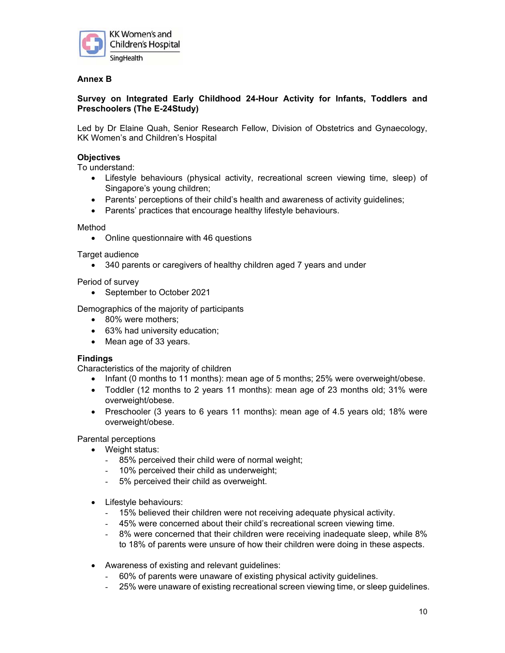

# **Annex B**

# **Survey on Integrated Early Childhood 24-Hour Activity for Infants, Toddlers and Preschoolers (The E-24Study)**

Led by Dr Elaine Quah, Senior Research Fellow, Division of Obstetrics and Gynaecology, KK Women's and Children's Hospital

## **Objectives**

To understand:

- Lifestyle behaviours (physical activity, recreational screen viewing time, sleep) of Singapore's young children;
- Parents' perceptions of their child's health and awareness of activity guidelines;
- Parents' practices that encourage healthy lifestyle behaviours.

#### Method

Online questionnaire with 46 questions

Target audience

340 parents or caregivers of healthy children aged 7 years and under

Period of survey

• September to October 2021

Demographics of the majority of participants

- 80% were mothers;
- 63% had university education;
- Mean age of 33 years.

#### **Findings**

Characteristics of the majority of children

- Infant (0 months to 11 months): mean age of 5 months;  $25%$  were overweight/obese.
- Toddler (12 months to 2 years 11 months): mean age of 23 months old; 31% were overweight/obese.
- Preschooler (3 years to 6 years 11 months): mean age of 4.5 years old; 18% were overweight/obese.

Parental perceptions

- Weight status:
	- 85% perceived their child were of normal weight;
	- 10% perceived their child as underweight;
	- 5% perceived their child as overweight.
- Lifestyle behaviours:
	- 15% believed their children were not receiving adequate physical activity.
	- 45% were concerned about their child's recreational screen viewing time.
	- 8% were concerned that their children were receiving inadequate sleep, while 8% to 18% of parents were unsure of how their children were doing in these aspects.
- Awareness of existing and relevant guidelines:
	- 60% of parents were unaware of existing physical activity guidelines.
	- 25% were unaware of existing recreational screen viewing time, or sleep guidelines.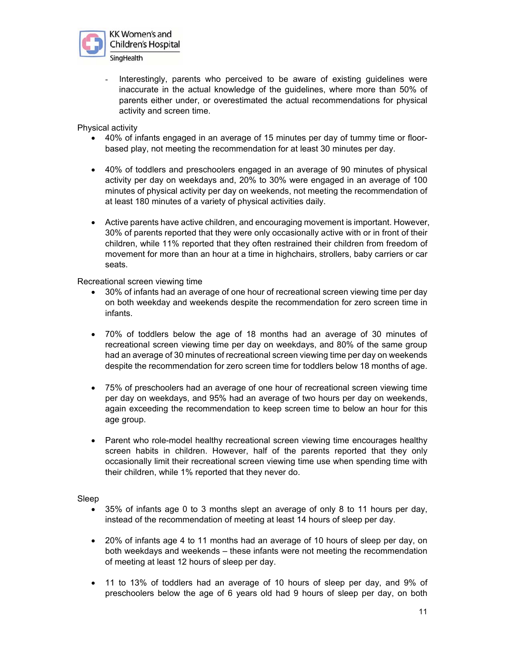

Interestingly, parents who perceived to be aware of existing guidelines were inaccurate in the actual knowledge of the guidelines, where more than 50% of parents either under, or overestimated the actual recommendations for physical activity and screen time.

Physical activity

- 40% of infants engaged in an average of 15 minutes per day of tummy time or floorbased play, not meeting the recommendation for at least 30 minutes per day.
- 40% of toddlers and preschoolers engaged in an average of 90 minutes of physical activity per day on weekdays and, 20% to 30% were engaged in an average of 100 minutes of physical activity per day on weekends, not meeting the recommendation of at least 180 minutes of a variety of physical activities daily.
- Active parents have active children, and encouraging movement is important. However, 30% of parents reported that they were only occasionally active with or in front of their children, while 11% reported that they often restrained their children from freedom of movement for more than an hour at a time in highchairs, strollers, baby carriers or car seats.

Recreational screen viewing time

- 30% of infants had an average of one hour of recreational screen viewing time per day on both weekday and weekends despite the recommendation for zero screen time in infants.
- 70% of toddlers below the age of 18 months had an average of 30 minutes of recreational screen viewing time per day on weekdays, and 80% of the same group had an average of 30 minutes of recreational screen viewing time per day on weekends despite the recommendation for zero screen time for toddlers below 18 months of age.
- 75% of preschoolers had an average of one hour of recreational screen viewing time per day on weekdays, and 95% had an average of two hours per day on weekends, again exceeding the recommendation to keep screen time to below an hour for this age group.
- Parent who role-model healthy recreational screen viewing time encourages healthy screen habits in children. However, half of the parents reported that they only occasionally limit their recreational screen viewing time use when spending time with their children, while 1% reported that they never do.

Sleep

- 35% of infants age 0 to 3 months slept an average of only 8 to 11 hours per day, instead of the recommendation of meeting at least 14 hours of sleep per day.
- 20% of infants age 4 to 11 months had an average of 10 hours of sleep per day, on both weekdays and weekends – these infants were not meeting the recommendation of meeting at least 12 hours of sleep per day.
- 11 to 13% of toddlers had an average of 10 hours of sleep per day, and 9% of preschoolers below the age of 6 years old had 9 hours of sleep per day, on both